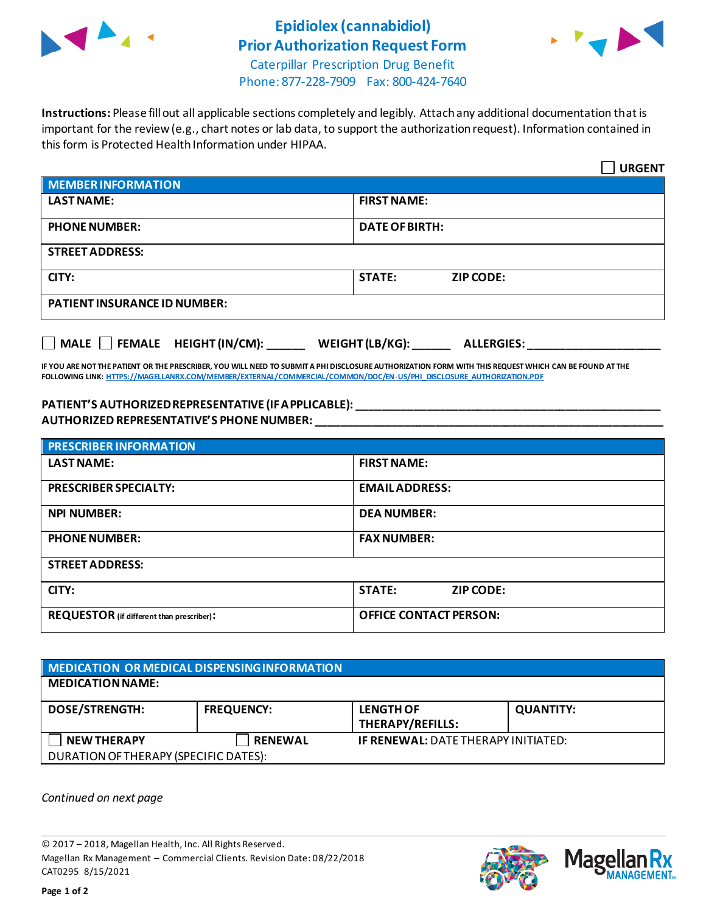

## **Epidiolex (cannabidiol) Prior Authorization Request Form**



Caterpillar Prescription Drug Benefit Phone: 877-228-7909 Fax: 800-424-7640

**Instructions:** Please fill out all applicable sections completely and legibly. Attach any additional documentation that is important for the review (e.g., chart notes or lab data, to support the authorization request). Information contained in this form is Protected Health Information under HIPAA.

|                                                                                   | <b>URGENT</b>                     |  |
|-----------------------------------------------------------------------------------|-----------------------------------|--|
| <b>MEMBER INFORMATION</b>                                                         |                                   |  |
| <b>LAST NAME:</b>                                                                 | <b>FIRST NAME:</b>                |  |
| <b>PHONE NUMBER:</b>                                                              | <b>DATE OF BIRTH:</b>             |  |
| <b>STREET ADDRESS:</b>                                                            |                                   |  |
| CITY:                                                                             | <b>STATE:</b><br><b>ZIP CODE:</b> |  |
| <b>PATIENT INSURANCE ID NUMBER:</b>                                               |                                   |  |
| $\Box$ MALE $\Box$ FEMALE HEIGHT (IN/CM):<br>WEIGHT (LB/KG):<br><b>ALLERGIES:</b> |                                   |  |

**IF YOU ARE NOT THE PATIENT OR THE PRESCRIBER, YOU WILL NEED TO SUBMIT A PHI DISCLOSURE AUTHORIZATION FORM WITH THIS REQUEST WHICH CAN BE FOUND AT THE FOLLOWING LINK[: HTTPS://MAGELLANRX.COM/MEMBER/EXTERNAL/COMMERCIAL/COMMON/DOC/EN-US/PHI\\_DISCLOSURE\\_AUTHORIZATION.PDF](https://magellanrx.com/member/external/commercial/common/doc/en-us/PHI_Disclosure_Authorization.pdf)**

## **PATIENT'S AUTHORIZED REPRESENTATIVE (IF APPLICABLE): \_\_\_\_\_\_\_\_\_\_\_\_\_\_\_\_\_\_\_\_\_\_\_\_\_\_\_\_\_\_\_\_\_\_\_\_\_\_\_\_\_\_\_\_\_\_\_\_ AUTHORIZED REPRESENTATIVE'S PHONE NUMBER: \_\_\_\_\_\_\_\_\_\_\_\_\_\_\_\_\_\_\_\_\_\_\_\_\_\_\_\_\_\_\_\_\_\_\_\_\_\_\_\_\_\_\_\_\_\_\_\_\_\_\_\_\_\_\_**

| <b>PRESCRIBER INFORMATION</b>             |                                   |  |  |
|-------------------------------------------|-----------------------------------|--|--|
| <b>LAST NAME:</b>                         | <b>FIRST NAME:</b>                |  |  |
| <b>PRESCRIBER SPECIALTY:</b>              | <b>EMAIL ADDRESS:</b>             |  |  |
| <b>NPI NUMBER:</b>                        | <b>DEA NUMBER:</b>                |  |  |
| <b>PHONE NUMBER:</b>                      | <b>FAX NUMBER:</b>                |  |  |
| <b>STREET ADDRESS:</b>                    |                                   |  |  |
| CITY:                                     | <b>STATE:</b><br><b>ZIP CODE:</b> |  |  |
| REQUESTOR (if different than prescriber): | <b>OFFICE CONTACT PERSON:</b>     |  |  |

## **MEDICATION OR MEDICAL DISPENSING INFORMATION MEDICATION NAME: DOSE/STRENGTH: FREQUENCY: LENGTH OF THERAPY/REFILLS: QUANTITY: NEW THERAPY RENEWAL IF RENEWAL:** DATE THERAPY INITIATED: DURATION OF THERAPY (SPECIFIC DATES):

*Continued on next page*

© 2017 – 2018, Magellan Health, Inc. All Rights Reserved. Magellan Rx Management – Commercial Clients. Revision Date: 08/22/2018 CAT0295 8/15/2021